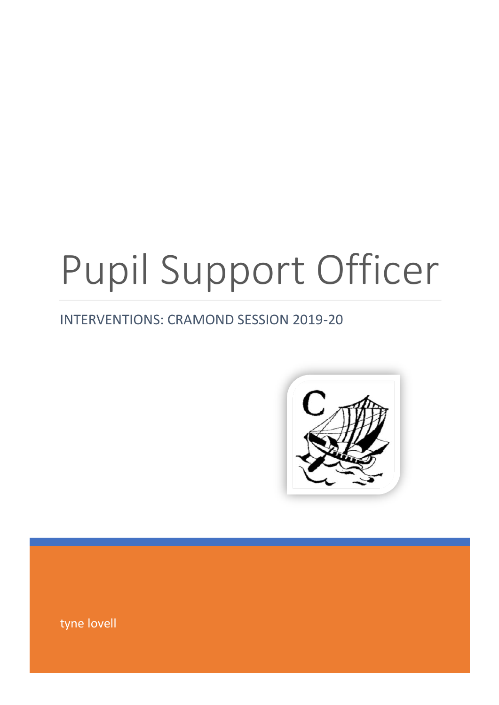# Pupil Support Officer

# INTERVENTIONS: CRAMOND SESSION 2019-20



tyne lovell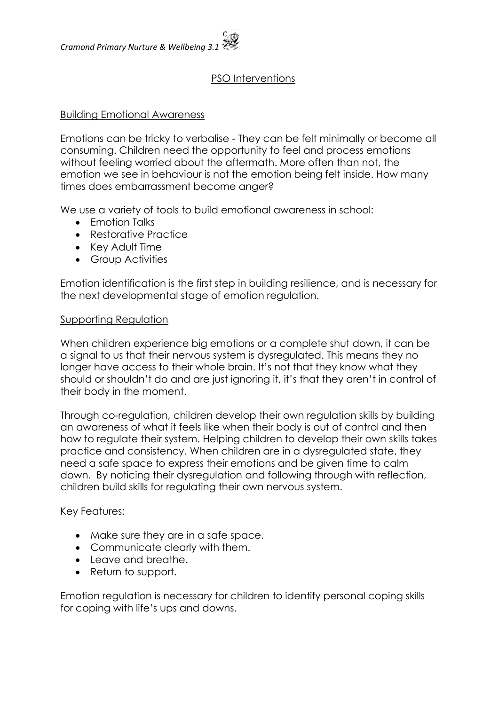# PSO Interventions

## Building Emotional Awareness

Emotions can be tricky to verbalise - They can be felt minimally or become all consuming. Children need the opportunity to feel and process emotions without feeling worried about the aftermath. More often than not, the emotion we see in behaviour is not the emotion being felt inside. How many times does embarrassment become anger?

We use a variety of tools to build emotional awareness in school:

- Emotion Talks
- Restorative Practice
- Key Adult Time
- Group Activities

Emotion identification is the first step in building resilience, and is necessary for the next developmental stage of emotion regulation.

#### Supporting Regulation

When children experience big emotions or a complete shut down, it can be a signal to us that their nervous system is dysregulated. This means they no longer have access to their whole brain. It's not that they know what they should or shouldn't do and are just ignoring it, it's that they aren't in control of their body in the moment.

Through co-regulation, children develop their own regulation skills by building an awareness of what it feels like when their body is out of control and then how to regulate their system. Helping children to develop their own skills takes practice and consistency. When children are in a dysregulated state, they need a safe space to express their emotions and be given time to calm down. By noticing their dysregulation and following through with reflection, children build skills for regulating their own nervous system.

Key Features:

- Make sure they are in a safe space.
- Communicate clearly with them.
- Leave and breathe.
- Return to support.

Emotion regulation is necessary for children to identify personal coping skills for coping with life's ups and downs.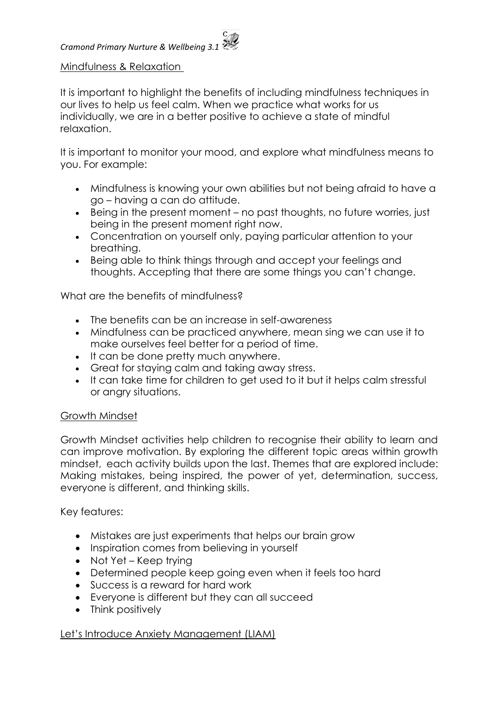#### Mindfulness & Relaxation

It is important to highlight the benefits of including mindfulness techniques in our lives to help us feel calm. When we practice what works for us individually, we are in a better positive to achieve a state of mindful relaxation.

It is important to monitor your mood, and explore what mindfulness means to you. For example:

- Mindfulness is knowing your own abilities but not being afraid to have a go – having a can do attitude.
- Being in the present moment no past thoughts, no future worries, just being in the present moment right now.
- Concentration on yourself only, paying particular attention to your breathing.
- Being able to think things through and accept your feelings and thoughts. Accepting that there are some things you can't change.

What are the benefits of mindfulness?

- The benefits can be an increase in self-awareness
- Mindfulness can be practiced anywhere, mean sing we can use it to make ourselves feel better for a period of time.
- It can be done pretty much anywhere.
- Great for staying calm and taking away stress.
- It can take time for children to get used to it but it helps calm stressful or angry situations.

#### Growth Mindset

Growth Mindset activities help children to recognise their ability to learn and can improve motivation. By exploring the different topic areas within growth mindset, each activity builds upon the last. Themes that are explored include: Making mistakes, being inspired, the power of yet, determination, success, everyone is different, and thinking skills.

Key features:

- Mistakes are just experiments that helps our brain grow
- Inspiration comes from believing in yourself
- Not Yet Keep trying
- Determined people keep going even when it feels too hard
- Success is a reward for hard work
- Everyone is different but they can all succeed
- Think positively

Let's Introduce Anxiety Management (LIAM)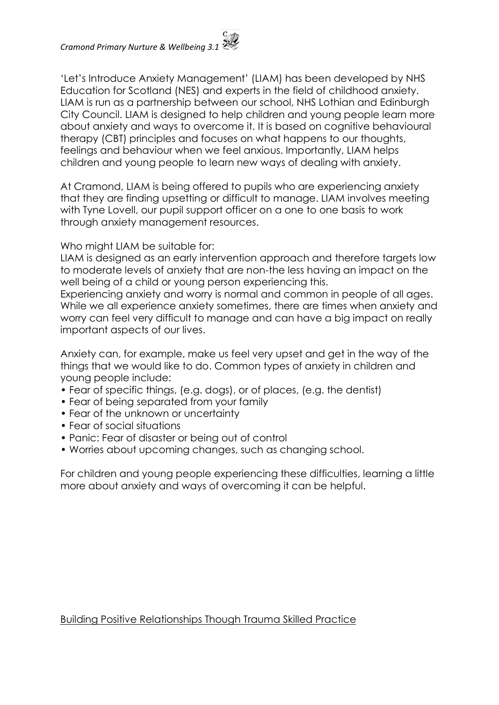'Let's Introduce Anxiety Management' (LIAM) has been developed by NHS Education for Scotland (NES) and experts in the field of childhood anxiety. LIAM is run as a partnership between our school, NHS Lothian and Edinburgh City Council. LIAM is designed to help children and young people learn more about anxiety and ways to overcome it. It is based on cognitive behavioural therapy (CBT) principles and focuses on what happens to our thoughts, feelings and behaviour when we feel anxious. Importantly, LIAM helps children and young people to learn new ways of dealing with anxiety.

At Cramond, LIAM is being offered to pupils who are experiencing anxiety that they are finding upsetting or difficult to manage. LIAM involves meeting with Tyne Lovell, our pupil support officer on a one to one basis to work through anxiety management resources.

Who might LIAM be suitable for:

LIAM is designed as an early intervention approach and therefore targets low to moderate levels of anxiety that are non-the less having an impact on the well being of a child or young person experiencing this.

Experiencing anxiety and worry is normal and common in people of all ages. While we all experience anxiety sometimes, there are times when anxiety and worry can feel very difficult to manage and can have a big impact on really important aspects of our lives.

Anxiety can, for example, make us feel very upset and get in the way of the things that we would like to do. Common types of anxiety in children and young people include:

- Fear of specific things, (e.g. dogs), or of places, (e.g. the dentist)
- Fear of being separated from your family
- Fear of the unknown or uncertainty
- Fear of social situations
- Panic: Fear of disaster or being out of control
- Worries about upcoming changes, such as changing school.

For children and young people experiencing these difficulties, learning a little more about anxiety and ways of overcoming it can be helpful.

#### Building Positive Relationships Though Trauma Skilled Practice